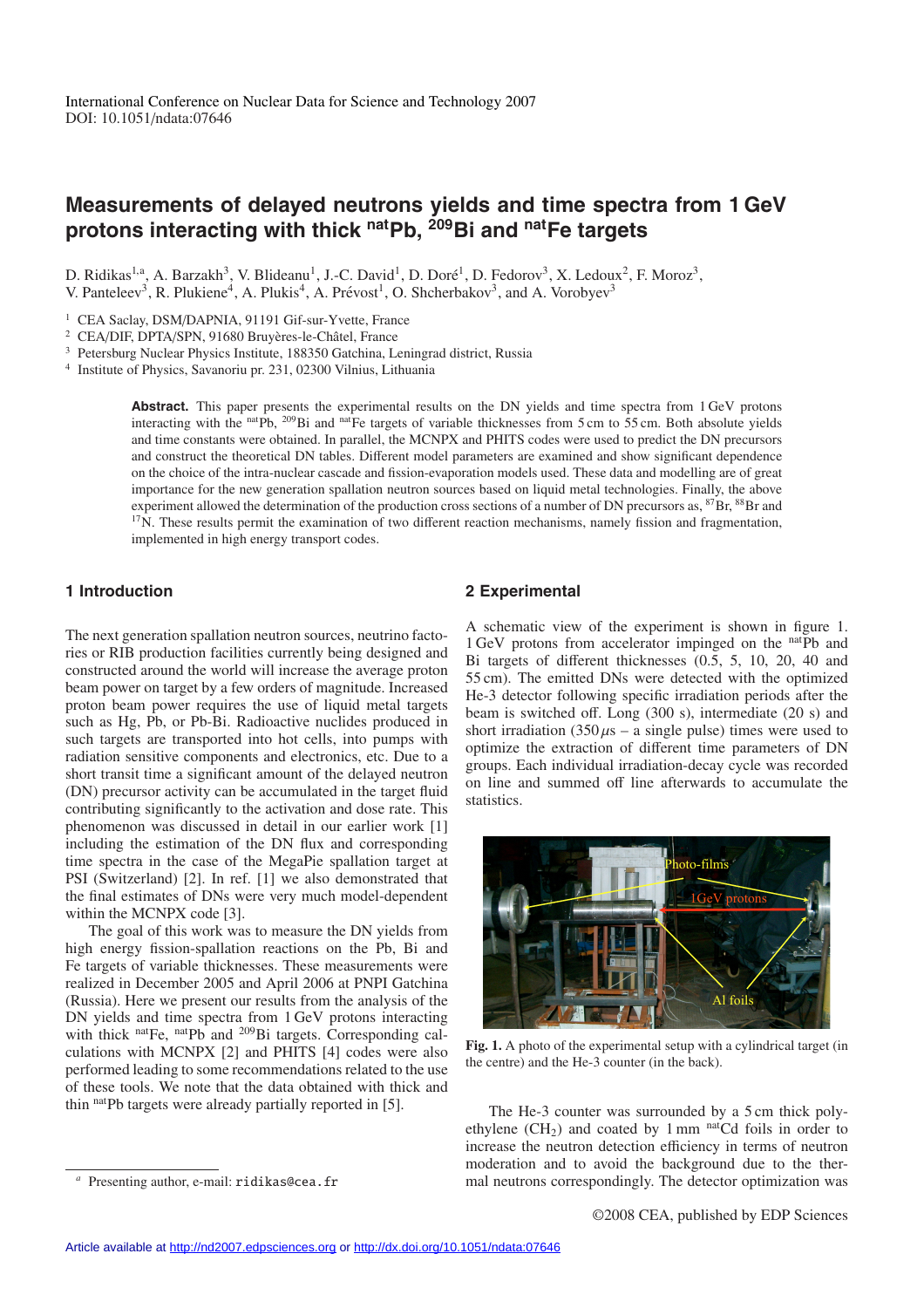# **Measurements of delayed neutrons yields and time spectra from 1 GeV protons interacting with thick natPb, 209Bi and natFe targets**

D. Ridikas<sup>1,a</sup>, A. Barzakh<sup>3</sup>, V. Blideanu<sup>1</sup>, J.-C. David<sup>1</sup>, D. Doré<sup>1</sup>, D. Fedorov<sup>3</sup>, X. Ledoux<sup>2</sup>, F. Moroz<sup>3</sup>, V. Panteleev<sup>3</sup>, R. Plukiene<sup>4</sup>, A. Plukis<sup>4</sup>, A. Prévost<sup>1</sup>, O. Shcherbakov<sup>3</sup>, and A. Vorobyev<sup>3</sup>

<sup>3</sup> Petersburg Nuclear Physics Institute, 188350 Gatchina, Leningrad district, Russia

<sup>4</sup> Institute of Physics, Savanoriu pr. 231, 02300 Vilnius, Lithuania

**Abstract.** This paper presents the experimental results on the DN yields and time spectra from 1 GeV protons interacting with the natpb,  $^{209}$ Bi and natFe targets of variable thicknesses from 5 cm to 55 cm. Both absolute yields and time constants were obtained. In parallel, the MCNPX and PHITS codes were used to predict the DN precursors and construct the theoretical DN tables. Different model parameters are examined and show significant dependence on the choice of the intra-nuclear cascade and fission-evaporation models used. These data and modelling are of great importance for the new generation spallation neutron sources based on liquid metal technologies. Finally, the above experiment allowed the determination of the production cross sections of a number of DN precursors as,  ${}^{87}Br$ ,  ${}^{88}Br$  and  $17$ N. These results permit the examination of two different reaction mechanisms, namely fission and fragmentation, implemented in high energy transport codes.

## **1 Introduction**

The next generation spallation neutron sources, neutrino factories or RIB production facilities currently being designed and constructed around the world will increase the average proton beam power on target by a few orders of magnitude. Increased proton beam power requires the use of liquid metal targets such as Hg, Pb, or Pb-Bi. Radioactive nuclides produced in such targets are transported into hot cells, into pumps with radiation sensitive components and electronics, etc. Due to a short transit time a significant amount of the delayed neutron (DN) precursor activity can be accumulated in the target fluid contributing significantly to the activation and dose rate. This phenomenon was discussed in detail in our earlier work [1] including the estimation of the DN flux and corresponding time spectra in the case of the MegaPie spallation target at PSI (Switzerland) [2]. In ref. [1] we also demonstrated that the final estimates of DNs were very much model-dependent within the MCNPX code [3].

The goal of this work was to measure the DN yields from high energy fission-spallation reactions on the Pb, Bi and Fe targets of variable thicknesses. These measurements were realized in December 2005 and April 2006 at PNPI Gatchina (Russia). Here we present our results from the analysis of the DN yields and time spectra from 1 GeV protons interacting with thick nat<sub>Fe, natpb</sub> and <sup>209</sup>Bi targets. Corresponding calculations with MCNPX [2] and PHITS [4] codes were also performed leading to some recommendations related to the use of these tools. We note that the data obtained with thick and thin natPb targets were already partially reported in [5].

#### Presenting author, e-mail: ridikas@cea.fr

## **2 Experimental**

A schematic view of the experiment is shown in figure 1. 1 GeV protons from accelerator impinged on the natPb and Bi targets of different thicknesses (0.5, 5, 10, 20, 40 and 55 cm). The emitted DNs were detected with the optimized He-3 detector following specific irradiation periods after the beam is switched off. Long (300 s), intermediate (20 s) and short irradiation  $(350 \mu s - a \text{ single pulse})$  times were used to optimize the extraction of different time parameters of DN groups. Each individual irradiation-decay cycle was recorded on line and summed off line afterwards to accumulate the statistics.



**Fig. 1.** A photo of the experimental setup with a cylindrical target (in the centre) and the He-3 counter (in the back).

The He-3 counter was surrounded by a 5 cm thick polyethylene  $(CH_2)$  and coated by 1 mm natCd foils in order to increase the neutron detection efficiency in terms of neutron moderation and to avoid the background due to the thermal neutrons correspondingly. The detector optimization was

<sup>&</sup>lt;sup>1</sup> CEA Saclay, DSM/DAPNIA, 91191 Gif-sur-Yvette, France

 $2$  CEA/DIF, DPTA/SPN, 91680 Bruyères-le-Châtel, France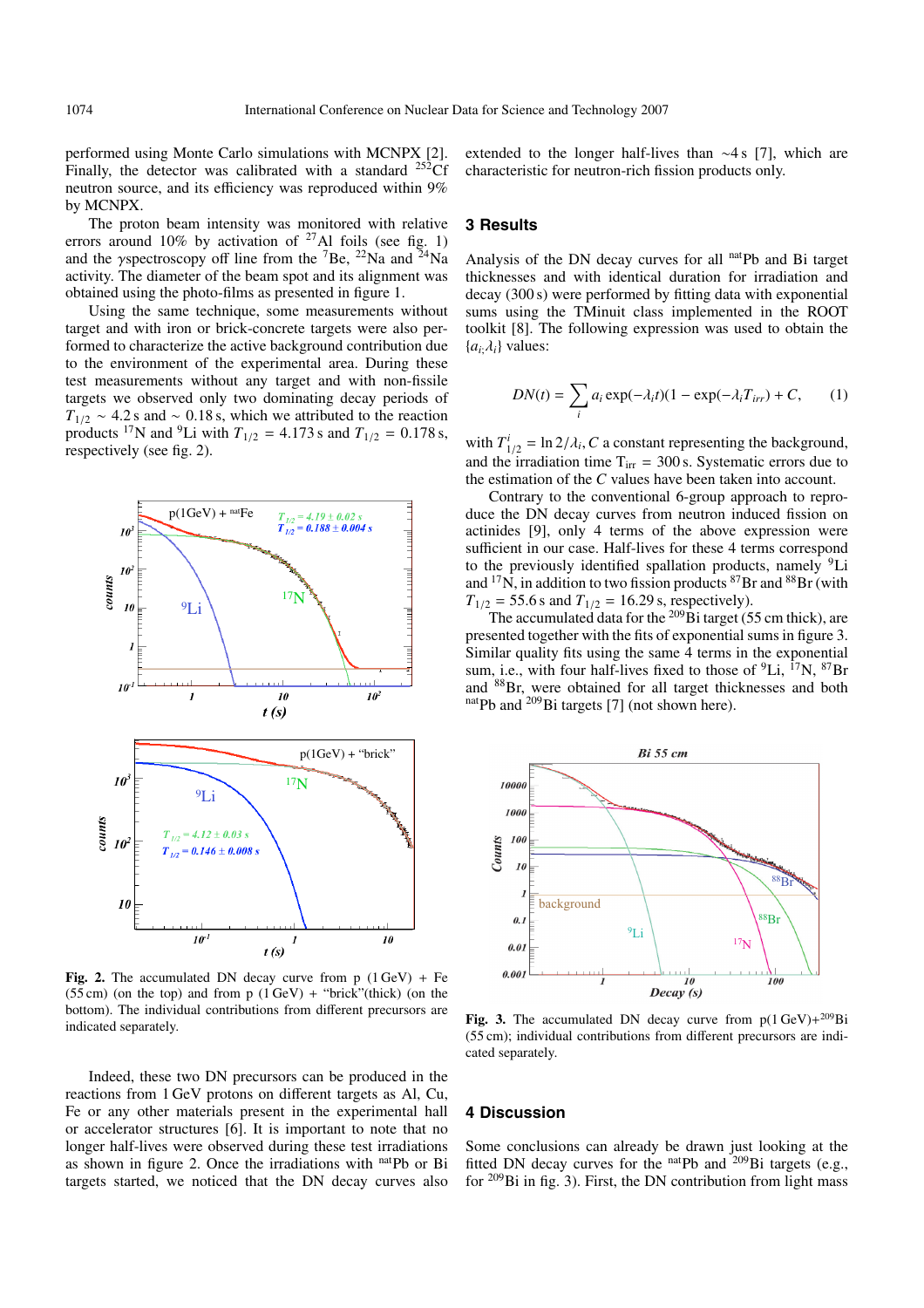performed using Monte Carlo simulations with MCNPX [2]. Finally, the detector was calibrated with a standard  $^{252}$ Cf neutron source, and its efficiency was reproduced within 9% by MCNPX.

The proton beam intensity was monitored with relative errors around 10% by activation of  $^{27}$ Al foils (see fig. 1) and the γspectroscopy off line from the <sup>7</sup>Be, <sup>22</sup>Na and <sup>24</sup>Na activity. The diameter of the beam spot and its alignment was obtained using the photo-films as presented in figure 1.

Using the same technique, some measurements without target and with iron or brick-concrete targets were also performed to characterize the active background contribution due to the environment of the experimental area. During these test measurements without any target and with non-fissile targets we observed only two dominating decay periods of  $T_{1/2}$  ~ 4.2 s and ~ 0.18 s, which we attributed to the reaction products <sup>17</sup>N and <sup>9</sup>Li with  $T_{1/2} = 4.173$  s and  $T_{1/2} = 0.178$  s, respectively (see fig. 2).



**Fig. 2.** The accumulated DN decay curve from  $p(1 \text{ GeV}) + Fe$  $(55 \text{ cm})$  (on the top) and from p  $(1 \text{ GeV})$  + "brick"(thick) (on the bottom). The individual contributions from different precursors are indicated separately.

Indeed, these two DN precursors can be produced in the reactions from 1 GeV protons on different targets as Al, Cu, Fe or any other materials present in the experimental hall or accelerator structures [6]. It is important to note that no longer half-lives were observed during these test irradiations as shown in figure 2. Once the irradiations with natPb or Bi targets started, we noticed that the DN decay curves also

extended to the longer half-lives than ∼4 s [7], which are characteristic for neutron-rich fission products only.

#### **3 Results**

Analysis of the DN decay curves for all natPb and Bi target thicknesses and with identical duration for irradiation and decay (300 s) were performed by fitting data with exponential sums using the TMinuit class implemented in the ROOT toolkit [8]. The following expression was used to obtain the  ${a_i \lambda_i}$  values:

$$
DN(t) = \sum_{i} a_i \exp(-\lambda_i t)(1 - \exp(-\lambda_i T_{irr}) + C, \qquad (1)
$$

with  $T_{1/2}^i = \ln 2/\lambda_i$ , *C* a constant representing the background, and the irradiation time  $T_{irr} = 300$  s. Systematic errors due to the estimation of the *C* values have been taken into account.

Contrary to the conventional 6-group approach to reproduce the DN decay curves from neutron induced fission on actinides [9], only 4 terms of the above expression were sufficient in our case. Half-lives for these 4 terms correspond to the previously identified spallation products, namely <sup>9</sup>Li and  $17\text{N}$ , in addition to two fission products  $87\text{Br}$  and  $88\text{Br}$  (with  $T_{1/2}$  = 55.6 s and  $T_{1/2}$  = 16.29 s, respectively).

The accumulated data for the <sup>209</sup>Bi target (55 cm thick), are presented together with the fits of exponential sums in figure 3. Similar quality fits using the same 4 terms in the exponential sum, i.e., with four half-lives fixed to those of  ${}^{9}Li$ ,  ${}^{17}N$ ,  ${}^{87}Br$ and <sup>88</sup>Br, were obtained for all target thicknesses and both natPb and <sup>209</sup>Bi targets [7] (not shown here).



**Fig. 3.** The accumulated DN decay curve from  $p(1 \text{ GeV}) + \frac{209}{9} \text{Bi}$ (55 cm); individual contributions from different precursors are indicated separately.

### **4 Discussion**

Some conclusions can already be drawn just looking at the fitted DN decay curves for the natPb and <sup>209</sup>Bi targets (e.g., for  $209$ Bi in fig. 3). First, the DN contribution from light mass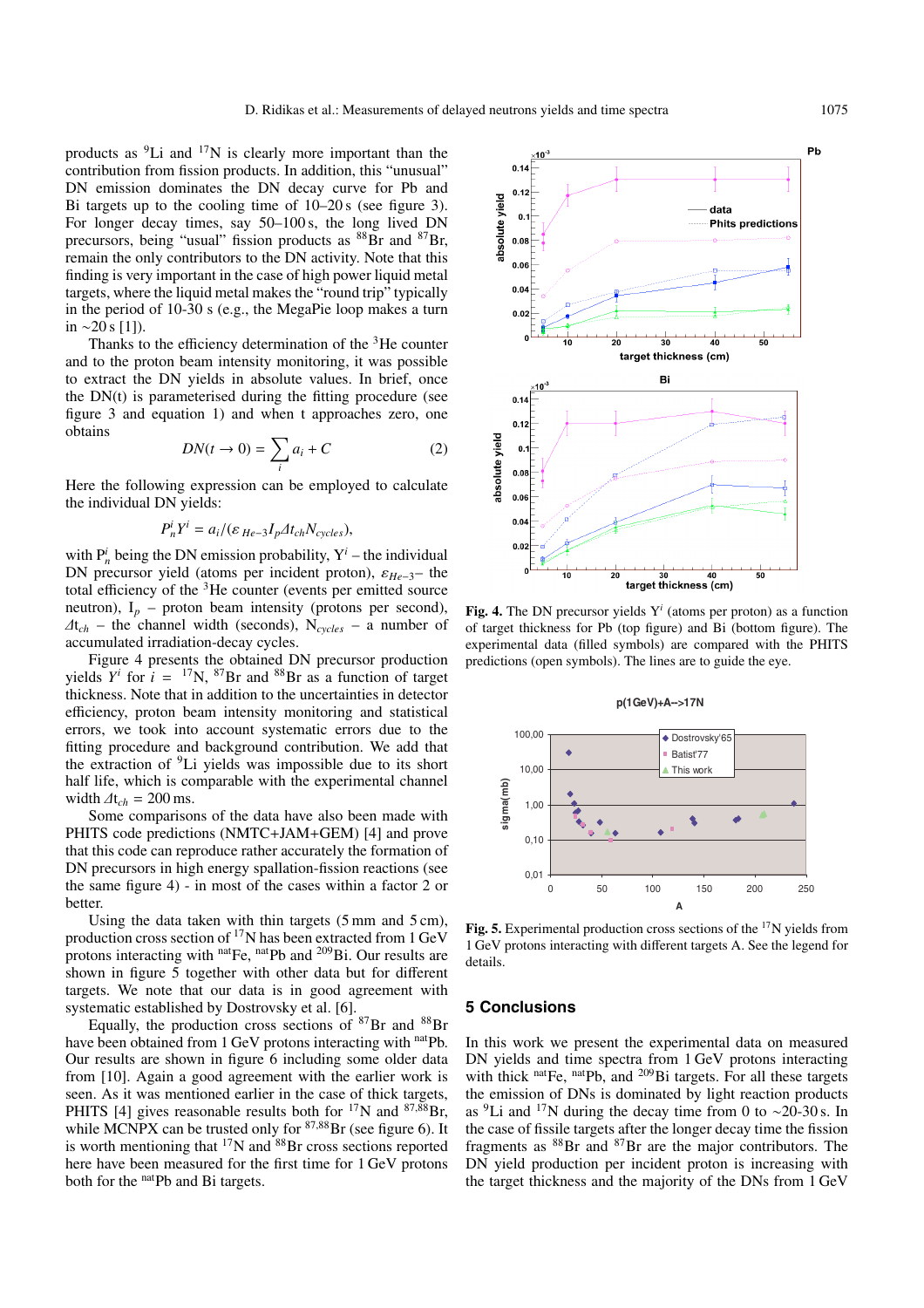products as  ${}^{9}$ Li and  ${}^{17}N$  is clearly more important than the contribution from fission products. In addition, this "unusual" DN emission dominates the DN decay curve for Pb and Bi targets up to the cooling time of 10–20 s (see figure 3). For longer decay times, say 50–100 s, the long lived DN precursors, being "usual" fission products as <sup>88</sup>Br and <sup>87</sup>Br, remain the only contributors to the DN activity. Note that this finding is very important in the case of high power liquid metal targets, where the liquid metal makes the "round trip" typically in the period of 10-30 s (e.g., the MegaPie loop makes a turn in  $\sim$ 20 s [1]).

Thanks to the efficiency determination of the  ${}^{3}$ He counter and to the proton beam intensity monitoring, it was possible to extract the DN yields in absolute values. In brief, once the DN(t) is parameterised during the fitting procedure (see figure 3 and equation 1) and when t approaches zero, one obtains

$$
DN(t \to 0) = \sum_{i} a_i + C \tag{2}
$$

Here the following expression can be employed to calculate the individual DN yields:

$$
P_n^i Y^i = a_i/(\varepsilon_{He-3} I_p \Delta t_{ch} N_{cycles}),
$$

with  $P_h^i$  being the DN emission probability,  $Y^i$  – the individual DN precursor yield (atoms per incident proton), ε*He*<sup>−</sup>3– the total efficiency of the 3He counter (events per emitted source neutron),  $I_p$  – proton beam intensity (protons per second), ∆t*ch* – the channel width (seconds), N*cycles* – a number of accumulated irradiation-decay cycles.

Figure 4 presents the obtained DN precursor production yields  $Y^i$  for  $i = {}^{17}N$ ,  ${}^{87}Br$  and  ${}^{88}Br$  as a function of target thickness. Note that in addition to the uncertainties in detector efficiency, proton beam intensity monitoring and statistical errors, we took into account systematic errors due to the fitting procedure and background contribution. We add that the extraction of 9Li yields was impossible due to its short half life, which is comparable with the experimental channel width  $\Delta t_{ch} = 200$  ms.

Some comparisons of the data have also been made with PHITS code predictions (NMTC+JAM+GEM) [4] and prove that this code can reproduce rather accurately the formation of DN precursors in high energy spallation-fission reactions (see the same figure 4) - in most of the cases within a factor 2 or better.

Using the data taken with thin targets  $(5 \text{ mm and } 5 \text{ cm})$ , production cross section of 17N has been extracted from 1 GeV protons interacting with  $n = \text{et} \cdot \text{et}$  and  $209 \text{Bi}$ . Our results are shown in figure 5 together with other data but for different targets. We note that our data is in good agreement with systematic established by Dostrovsky et al. [6].

Equally, the production cross sections of  $87\,\text{Br}$  and  $88\,\text{Br}$ have been obtained from 1 GeV protons interacting with natPb. Our results are shown in figure 6 including some older data from [10]. Again a good agreement with the earlier work is seen. As it was mentioned earlier in the case of thick targets, PHITS [4] gives reasonable results both for  $^{17}N$  and  $^{87,88}Br$ , while MCNPX can be trusted only for  $87,88$ Br (see figure 6). It is worth mentioning that  $17N$  and  $88Br$  cross sections reported here have been measured for the first time for 1 GeV protons both for the natPb and Bi targets.



**Fig. 4.** The DN precursor yields  $Y^i$  (atoms per proton) as a function of target thickness for Pb (top figure) and Bi (bottom figure). The experimental data (filled symbols) are compared with the PHITS predictions (open symbols). The lines are to guide the eye.



Fig. 5. Experimental production cross sections of the <sup>17</sup>N yields from 1 GeV protons interacting with different targets A. See the legend for details.

#### **5 Conclusions**

In this work we present the experimental data on measured DN yields and time spectra from 1 GeV protons interacting with thick natFe, natPb, and  $^{209}$ Bi targets. For all these targets the emission of DNs is dominated by light reaction products as <sup>9</sup>Li and <sup>17</sup>N during the decay time from 0 to ~20-30 s. In the case of fissile targets after the longer decay time the fission fragments as 88Br and 87Br are the major contributors. The DN yield production per incident proton is increasing with the target thickness and the majority of the DNs from 1 GeV